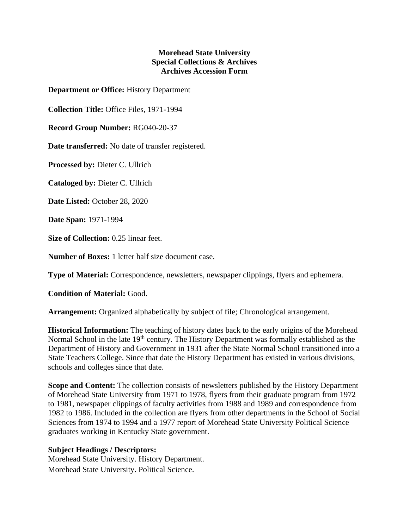## **Morehead State University Special Collections & Archives Archives Accession Form**

**Department or Office:** History Department

**Collection Title:** Office Files, 1971-1994

**Record Group Number:** RG040-20-37

**Date transferred:** No date of transfer registered.

**Processed by:** Dieter C. Ullrich

**Cataloged by:** Dieter C. Ullrich

**Date Listed:** October 28, 2020

**Date Span:** 1971-1994

**Size of Collection:** 0.25 linear feet.

**Number of Boxes:** 1 letter half size document case.

**Type of Material:** Correspondence, newsletters, newspaper clippings, flyers and ephemera.

**Condition of Material:** Good.

**Arrangement:** Organized alphabetically by subject of file; Chronological arrangement.

**Historical Information:** The teaching of history dates back to the early origins of the Morehead Normal School in the late 19<sup>th</sup> century. The History Department was formally established as the Department of History and Government in 1931 after the State Normal School transitioned into a State Teachers College. Since that date the History Department has existed in various divisions, schools and colleges since that date.

**Scope and Content:** The collection consists of newsletters published by the History Department of Morehead State University from 1971 to 1978, flyers from their graduate program from 1972 to 1981, newspaper clippings of faculty activities from 1988 and 1989 and correspondence from 1982 to 1986. Included in the collection are flyers from other departments in the School of Social Sciences from 1974 to 1994 and a 1977 report of Morehead State University Political Science graduates working in Kentucky State government.

## **Subject Headings / Descriptors:**

Morehead State University. History Department. Morehead State University. Political Science.